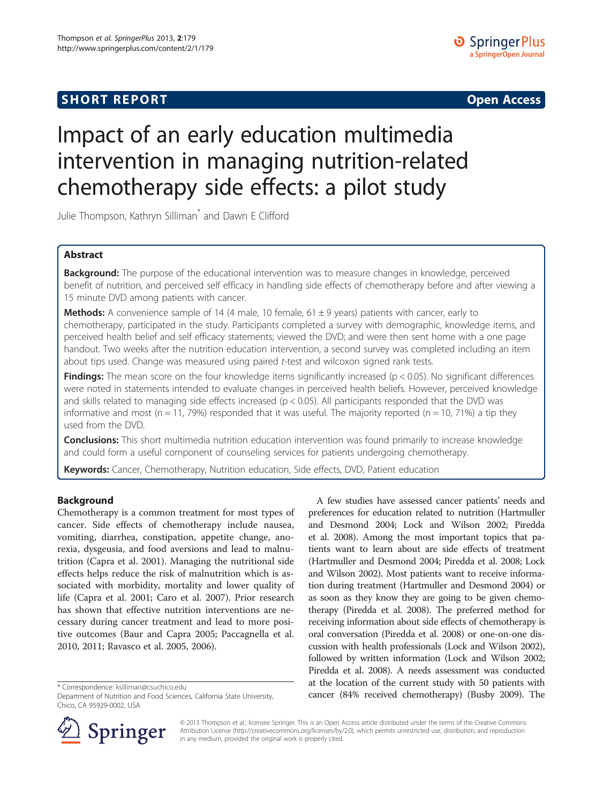## **SHORT REPORT SHORT CONSTRUCTED AT A SEXUAL CONSTRUCT OF A SEXUAL CONSTRUCTION OPEN Access**

# Impact of an early education multimedia intervention in managing nutrition-related chemotherapy side effects: a pilot study

Julie Thompson, Kathryn Silliman<sup>\*</sup> and Dawn E Clifford

## Abstract

Background: The purpose of the educational intervention was to measure changes in knowledge, perceived benefit of nutrition, and perceived self efficacy in handling side effects of chemotherapy before and after viewing a 15 minute DVD among patients with cancer.

Methods: A convenience sample of 14 (4 male, 10 female, 61 ± 9 years) patients with cancer, early to chemotherapy, participated in the study. Participants completed a survey with demographic, knowledge items, and perceived health belief and self efficacy statements; viewed the DVD; and were then sent home with a one page handout. Two weeks after the nutrition education intervention, a second survey was completed including an item about tips used. Change was measured using paired t-test and wilcoxon signed rank tests.

Findings: The mean score on the four knowledge items significantly increased ( $p < 0.05$ ). No significant differences were noted in statements intended to evaluate changes in perceived health beliefs. However, perceived knowledge and skills related to managing side effects increased (p < 0.05). All participants responded that the DVD was informative and most (n = 11, 79%) responded that it was useful. The majority reported (n = 10, 71%) a tip they used from the DVD.

**Conclusions:** This short multimedia nutrition education intervention was found primarily to increase knowledge and could form a useful component of counseling services for patients undergoing chemotherapy.

Keywords: Cancer, Chemotherapy, Nutrition education, Side effects, DVD, Patient education

## Background

Chemotherapy is a common treatment for most types of cancer. Side effects of chemotherapy include nausea, vomiting, diarrhea, constipation, appetite change, anorexia, dysgeusia, and food aversions and lead to malnutrition (Capra et al. [2001](#page-3-0)). Managing the nutritional side effects helps reduce the risk of malnutrition which is associated with morbidity, mortality and lower quality of life (Capra et al. [2001;](#page-3-0) Caro et al. [2007\)](#page-3-0). Prior research has shown that effective nutrition interventions are necessary during cancer treatment and lead to more positive outcomes (Baur and Capra [2005](#page-3-0); Paccagnella et al. [2010](#page-4-0), [2011](#page-4-0); Ravasco et al. [2005, 2006\)](#page-4-0).

A few studies have assessed cancer patients' needs and preferences for education related to nutrition (Hartmuller and Desmond [2004;](#page-3-0) Lock and Wilson [2002;](#page-3-0) Piredda et al. [2008\)](#page-4-0). Among the most important topics that patients want to learn about are side effects of treatment (Hartmuller and Desmond [2004;](#page-3-0) Piredda et al. [2008;](#page-4-0) Lock and Wilson [2002](#page-3-0)). Most patients want to receive information during treatment (Hartmuller and Desmond [2004\)](#page-3-0) or as soon as they know they are going to be given chemotherapy (Piredda et al. [2008](#page-4-0)). The preferred method for receiving information about side effects of chemotherapy is oral conversation (Piredda et al. [2008\)](#page-4-0) or one-on-one discussion with health professionals (Lock and Wilson [2002](#page-3-0)), followed by written information (Lock and Wilson [2002](#page-3-0); Piredda et al. [2008\)](#page-4-0). A needs assessment was conducted at the location of the current study with 50 patients with correspondence: [ksilliman@csuchico.edu](mailto:ksilliman@csuchico.edu)<br>
Chepartment of Nutrition and Food Sciences, California State University, **Cancer (84% received chemotherapy) (Busby [2009\)](#page-3-0). The** 



© 2013 Thompson et al.; licensee Springer. This is an Open Access article distributed under the terms of the Creative Commons Attribution License [\(http://creativecommons.org/licenses/by/2.0\)](http://creativecommons.org/licenses/by/2.0), which permits unrestricted use, distribution, and reproduction in any medium, provided the original work is properly cited.

Department of Nutrition and Food Sciences, California State University, Chico, CA 95929-0002, USA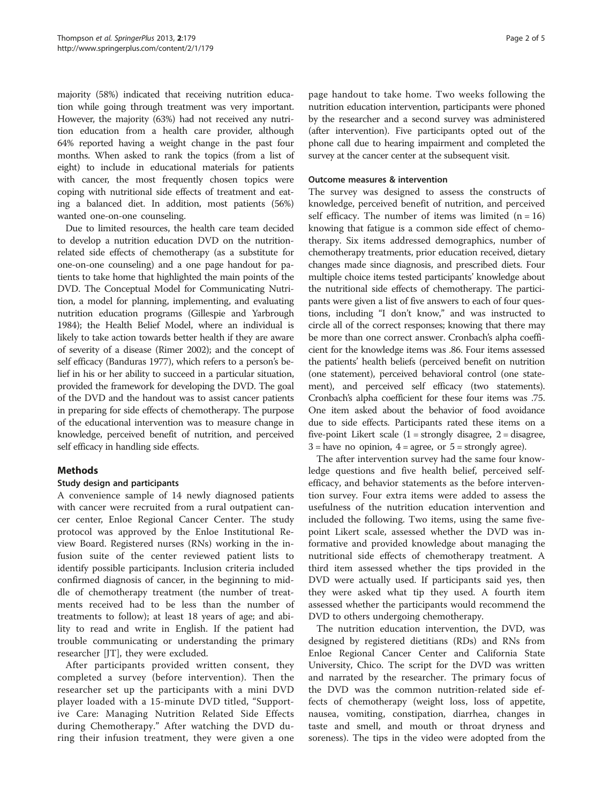majority (58%) indicated that receiving nutrition education while going through treatment was very important. However, the majority (63%) had not received any nutrition education from a health care provider, although 64% reported having a weight change in the past four months. When asked to rank the topics (from a list of eight) to include in educational materials for patients with cancer, the most frequently chosen topics were coping with nutritional side effects of treatment and eating a balanced diet. In addition, most patients (56%) wanted one-on-one counseling.

Due to limited resources, the health care team decided to develop a nutrition education DVD on the nutritionrelated side effects of chemotherapy (as a substitute for one-on-one counseling) and a one page handout for patients to take home that highlighted the main points of the DVD. The Conceptual Model for Communicating Nutrition, a model for planning, implementing, and evaluating nutrition education programs (Gillespie and Yarbrough [1984\)](#page-3-0); the Health Belief Model, where an individual is likely to take action towards better health if they are aware of severity of a disease (Rimer [2002\)](#page-4-0); and the concept of self efficacy (Banduras [1977](#page-3-0)), which refers to a person's belief in his or her ability to succeed in a particular situation, provided the framework for developing the DVD. The goal of the DVD and the handout was to assist cancer patients in preparing for side effects of chemotherapy. The purpose of the educational intervention was to measure change in knowledge, perceived benefit of nutrition, and perceived self efficacy in handling side effects.

## Methods

## Study design and participants

A convenience sample of 14 newly diagnosed patients with cancer were recruited from a rural outpatient cancer center, Enloe Regional Cancer Center. The study protocol was approved by the Enloe Institutional Review Board. Registered nurses (RNs) working in the infusion suite of the center reviewed patient lists to identify possible participants. Inclusion criteria included confirmed diagnosis of cancer, in the beginning to middle of chemotherapy treatment (the number of treatments received had to be less than the number of treatments to follow); at least 18 years of age; and ability to read and write in English. If the patient had trouble communicating or understanding the primary researcher [JT], they were excluded.

After participants provided written consent, they completed a survey (before intervention). Then the researcher set up the participants with a mini DVD player loaded with a 15-minute DVD titled, "Supportive Care: Managing Nutrition Related Side Effects during Chemotherapy." After watching the DVD during their infusion treatment, they were given a one

page handout to take home. Two weeks following the nutrition education intervention, participants were phoned by the researcher and a second survey was administered (after intervention). Five participants opted out of the phone call due to hearing impairment and completed the survey at the cancer center at the subsequent visit.

### Outcome measures & intervention

The survey was designed to assess the constructs of knowledge, perceived benefit of nutrition, and perceived self efficacy. The number of items was limited  $(n = 16)$ knowing that fatigue is a common side effect of chemotherapy. Six items addressed demographics, number of chemotherapy treatments, prior education received, dietary changes made since diagnosis, and prescribed diets. Four multiple choice items tested participants' knowledge about the nutritional side effects of chemotherapy. The participants were given a list of five answers to each of four questions, including "I don't know," and was instructed to circle all of the correct responses; knowing that there may be more than one correct answer. Cronbach's alpha coefficient for the knowledge items was .86. Four items assessed the patients' health beliefs (perceived benefit on nutrition (one statement), perceived behavioral control (one statement), and perceived self efficacy (two statements). Cronbach's alpha coefficient for these four items was .75. One item asked about the behavior of food avoidance due to side effects. Participants rated these items on a five-point Likert scale  $(1 =$  strongly disagree,  $2 =$  disagree,  $3 =$  have no opinion,  $4 =$  agree, or  $5 =$  strongly agree).

The after intervention survey had the same four knowledge questions and five health belief, perceived selfefficacy, and behavior statements as the before intervention survey. Four extra items were added to assess the usefulness of the nutrition education intervention and included the following. Two items, using the same fivepoint Likert scale, assessed whether the DVD was informative and provided knowledge about managing the nutritional side effects of chemotherapy treatment. A third item assessed whether the tips provided in the DVD were actually used. If participants said yes, then they were asked what tip they used. A fourth item assessed whether the participants would recommend the DVD to others undergoing chemotherapy.

The nutrition education intervention, the DVD, was designed by registered dietitians (RDs) and RNs from Enloe Regional Cancer Center and California State University, Chico. The script for the DVD was written and narrated by the researcher. The primary focus of the DVD was the common nutrition-related side effects of chemotherapy (weight loss, loss of appetite, nausea, vomiting, constipation, diarrhea, changes in taste and smell, and mouth or throat dryness and soreness). The tips in the video were adopted from the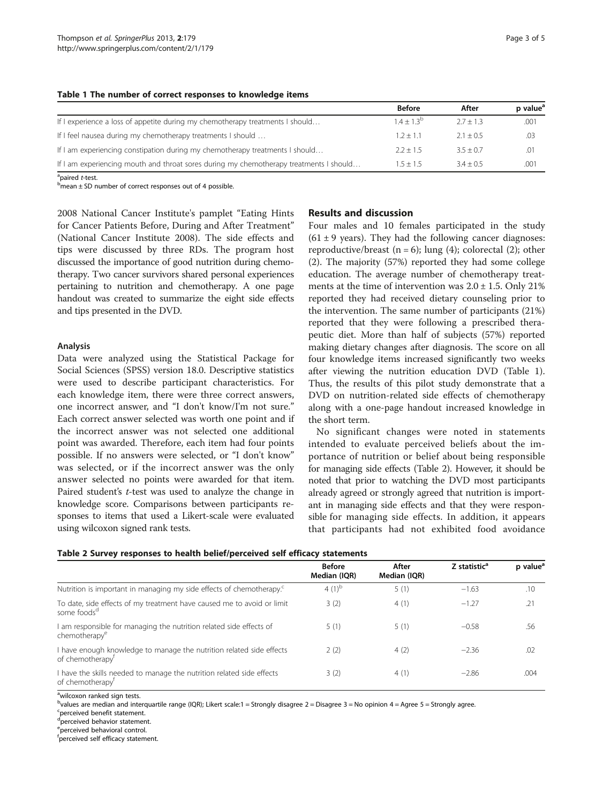#### Table 1 The number of correct responses to knowledge items

|                                                                                        | <b>Before</b> | After       | p value <sup>a</sup> |
|----------------------------------------------------------------------------------------|---------------|-------------|----------------------|
| If I experience a loss of appetite during my chemotherapy treatments I should          | $14 + 13^{D}$ | $27 + 13$   | .001                 |
| If I feel nausea during my chemotherapy treatments I should                            | $1.2 + 1.1$   | $21 + 05$   | .03                  |
| If I am experiencing constipation during my chemotherapy treatments I should           | $2.2 + 1.5$   | $3.5 + 0.7$ | .01                  |
| If I am experiencing mouth and throat sores during my chemotherapy treatments I should | $15 + 15$     | $3.4 + 0.5$ | .001                 |

anaired t-test.

<sup>a</sup>paired *t-*test.<br><sup>b</sup>mean ± SD number of correct responses out of 4 possible.

2008 National Cancer Institute's pamplet "Eating Hints for Cancer Patients Before, During and After Treatment" (National Cancer Institute [2008](#page-4-0)). The side effects and tips were discussed by three RDs. The program host discussed the importance of good nutrition during chemotherapy. Two cancer survivors shared personal experiences pertaining to nutrition and chemotherapy. A one page handout was created to summarize the eight side effects and tips presented in the DVD.

#### Analysis

Data were analyzed using the Statistical Package for Social Sciences (SPSS) version 18.0. Descriptive statistics were used to describe participant characteristics. For each knowledge item, there were three correct answers, one incorrect answer, and "I don't know/I'm not sure." Each correct answer selected was worth one point and if the incorrect answer was not selected one additional point was awarded. Therefore, each item had four points possible. If no answers were selected, or "I don't know" was selected, or if the incorrect answer was the only answer selected no points were awarded for that item. Paired student's t-test was used to analyze the change in knowledge score. Comparisons between participants responses to items that used a Likert-scale were evaluated using wilcoxon signed rank tests.

#### Results and discussion

Four males and 10 females participated in the study  $(61 \pm 9 \text{ years})$ . They had the following cancer diagnoses: reproductive/breast ( $n = 6$ ); lung (4); colorectal (2); other (2). The majority (57%) reported they had some college education. The average number of chemotherapy treatments at the time of intervention was  $2.0 \pm 1.5$ . Only 21% reported they had received dietary counseling prior to the intervention. The same number of participants (21%) reported that they were following a prescribed therapeutic diet. More than half of subjects (57%) reported making dietary changes after diagnosis. The score on all four knowledge items increased significantly two weeks after viewing the nutrition education DVD (Table 1). Thus, the results of this pilot study demonstrate that a DVD on nutrition-related side effects of chemotherapy along with a one-page handout increased knowledge in the short term.

No significant changes were noted in statements intended to evaluate perceived beliefs about the importance of nutrition or belief about being responsible for managing side effects (Table 2). However, it should be noted that prior to watching the DVD most participants already agreed or strongly agreed that nutrition is important in managing side effects and that they were responsible for managing side effects. In addition, it appears that participants had not exhibited food avoidance

| Table 2 Survey responses to health belief/perceived self efficacy statements |  |  |
|------------------------------------------------------------------------------|--|--|
|------------------------------------------------------------------------------|--|--|

|                                                                                                       | <b>Before</b><br>Median (IQR) | After<br>Median (IQR) | Z statistic <sup>a</sup> | p value <sup>a</sup> |
|-------------------------------------------------------------------------------------------------------|-------------------------------|-----------------------|--------------------------|----------------------|
| Nutrition is important in managing my side effects of chemotherapy. <sup>c</sup>                      | 4 $(1)^{b}$                   | 5(1)                  | $-1.63$                  | .10                  |
| To date, side effects of my treatment have caused me to avoid or limit<br>some foods <sup>d</sup>     | 3(2)                          | 4(1)                  | $-1.27$                  | .21                  |
| I am responsible for managing the nutrition related side effects of<br>chemotherapy <sup>e</sup>      | 5 (1)                         | 5(1)                  | $-0.58$                  | .56                  |
| I have enough knowledge to manage the nutrition related side effects<br>of chemotherapy <sup>r</sup>  | 2(2)                          | 4(2)                  | $-2.36$                  | .02                  |
| I have the skills needed to manage the nutrition related side effects<br>of chemotherapy <sup>t</sup> | 3(2)                          | 4(1)                  | $-2.86$                  | .004                 |

<sup>a</sup>wilcoxon ranked sign tests.

.<br><sup>b</sup>values are median and interquartile range (IQR); Likert scale:1 = Strongly disagree 2 = Disagree 3 = No opinion 4 = Agree 5 = Strongly agree.

<sup>c</sup>perceived benefit statement.

<sup>d</sup>perceived behavior statement.

<sup>e</sup>perceived behavioral control.

fperceived self efficacy statement.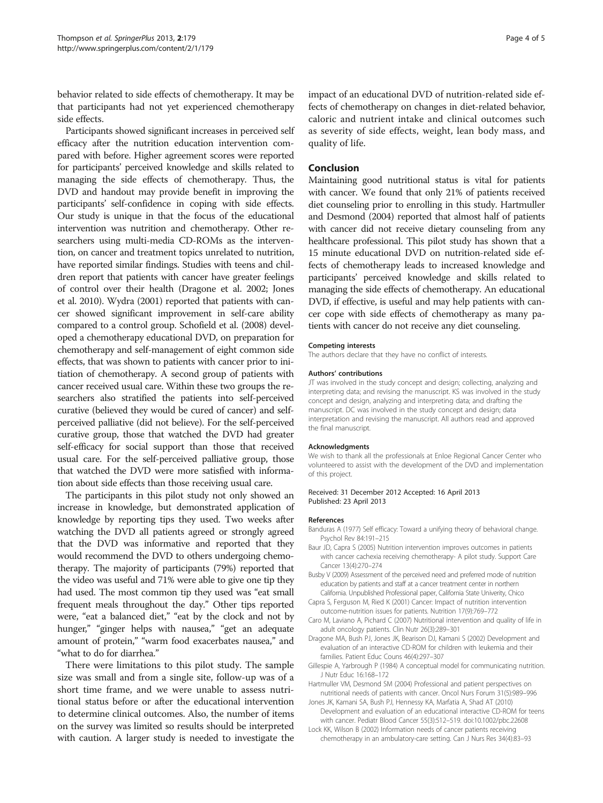<span id="page-3-0"></span>behavior related to side effects of chemotherapy. It may be that participants had not yet experienced chemotherapy side effects.

Participants showed significant increases in perceived self efficacy after the nutrition education intervention compared with before. Higher agreement scores were reported for participants' perceived knowledge and skills related to managing the side effects of chemotherapy. Thus, the DVD and handout may provide benefit in improving the participants' self-confidence in coping with side effects. Our study is unique in that the focus of the educational intervention was nutrition and chemotherapy. Other researchers using multi-media CD-ROMs as the intervention, on cancer and treatment topics unrelated to nutrition, have reported similar findings. Studies with teens and children report that patients with cancer have greater feelings of control over their health (Dragone et al. 2002; Jones et al. 2010). Wydra ([2001\)](#page-4-0) reported that patients with cancer showed significant improvement in self-care ability compared to a control group. Schofield et al. [\(2008\)](#page-4-0) developed a chemotherapy educational DVD, on preparation for chemotherapy and self-management of eight common side effects, that was shown to patients with cancer prior to initiation of chemotherapy. A second group of patients with cancer received usual care. Within these two groups the researchers also stratified the patients into self-perceived curative (believed they would be cured of cancer) and selfperceived palliative (did not believe). For the self-perceived curative group, those that watched the DVD had greater self-efficacy for social support than those that received usual care. For the self-perceived palliative group, those that watched the DVD were more satisfied with information about side effects than those receiving usual care.

The participants in this pilot study not only showed an increase in knowledge, but demonstrated application of knowledge by reporting tips they used. Two weeks after watching the DVD all patients agreed or strongly agreed that the DVD was informative and reported that they would recommend the DVD to others undergoing chemotherapy. The majority of participants (79%) reported that the video was useful and 71% were able to give one tip they had used. The most common tip they used was "eat small frequent meals throughout the day." Other tips reported were, "eat a balanced diet," "eat by the clock and not by hunger," "ginger helps with nausea," "get an adequate amount of protein," "warm food exacerbates nausea," and "what to do for diarrhea."

There were limitations to this pilot study. The sample size was small and from a single site, follow-up was of a short time frame, and we were unable to assess nutritional status before or after the educational intervention to determine clinical outcomes. Also, the number of items on the survey was limited so results should be interpreted with caution. A larger study is needed to investigate the

impact of an educational DVD of nutrition-related side effects of chemotherapy on changes in diet-related behavior, caloric and nutrient intake and clinical outcomes such as severity of side effects, weight, lean body mass, and quality of life.

#### Conclusion

Maintaining good nutritional status is vital for patients with cancer. We found that only 21% of patients received diet counseling prior to enrolling in this study. Hartmuller and Desmond (2004) reported that almost half of patients with cancer did not receive dietary counseling from any healthcare professional. This pilot study has shown that a 15 minute educational DVD on nutrition-related side effects of chemotherapy leads to increased knowledge and participants' perceived knowledge and skills related to managing the side effects of chemotherapy. An educational DVD, if effective, is useful and may help patients with cancer cope with side effects of chemotherapy as many patients with cancer do not receive any diet counseling.

#### Competing interests

The authors declare that they have no conflict of interests.

#### Authors' contributions

JT was involved in the study concept and design; collecting, analyzing and interpreting data; and revising the manuscript. KS was involved in the study concept and design, analyzing and interpreting data; and drafting the manuscript. DC was involved in the study concept and design; data interpretation and revising the manuscript. All authors read and approved the final manuscript.

#### Acknowledgments

We wish to thank all the professionals at Enloe Regional Cancer Center who volunteered to assist with the development of the DVD and implementation of this project.

#### Received: 31 December 2012 Accepted: 16 April 2013 Published: 23 April 2013

#### References

- Banduras A (1977) Self efficacy: Toward a unifying theory of behavioral change. Psychol Rev 84:191–215
- Baur JD, Capra S (2005) Nutrition intervention improves outcomes in patients with cancer cachexia receiving chemotherapy- A pilot study. Support Care Cancer 13(4):270–274
- Busby V (2009) Assessment of the perceived need and preferred mode of nutrition education by patients and staff at a cancer treatment center in northern California. Unpublished Professional paper, California State Univerity, Chico
- Capra S, Ferguson M, Ried K (2001) Cancer: Impact of nutrition intervention outcome-nutrition issues for patients. Nutrition 17(9):769–772
- Caro M, Laviano A, Pichard C (2007) Nutritional intervention and quality of life in adult oncology patients. Clin Nutr 26(3):289–301
- Dragone MA, Bush PJ, Jones JK, Bearison DJ, Kamani S (2002) Development and evaluation of an interactive CD-ROM for children with leukemia and their families. Patient Educ Couns 46(4):297–307
- Gillespie A, Yarbrough P (1984) A conceptual model for communicating nutrition. J Nutr Educ 16:168–172
- Hartmuller VM, Desmond SM (2004) Professional and patient perspectives on nutritional needs of patients with cancer. Oncol Nurs Forum 31(5):989–996
- Jones JK, Kamani SA, Bush PJ, Hennessy KA, Marfatia A, Shad AT (2010) Development and evaluation of an educational interactive CD-ROM for teens with cancer. Pediatr Blood Cancer 55(3):512–519. doi[:10.1002/pbc.22608](http://dx.doi.org/10.1002/pbc.22608)
- Lock KK, Wilson B (2002) Information needs of cancer patients receiving chemotherapy in an ambulatory-care setting. Can J Nurs Res 34(4):83–93